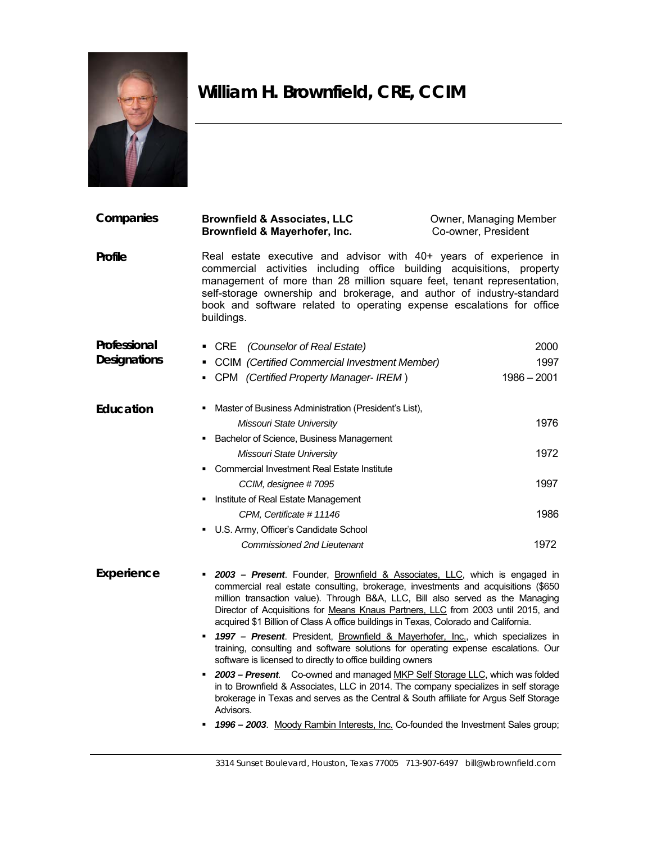

## **William H. Brownfield, CRE, CCIM**

| Companies           | <b>Brownfield &amp; Associates, LLC</b><br>Brownfield & Mayerhofer, Inc.                                                                                                                                                                                                                                                                                                                                                                                                                                                                                                                                                                                                                                                                                                                                                                     | Owner, Managing Member<br>Co-owner, President |
|---------------------|----------------------------------------------------------------------------------------------------------------------------------------------------------------------------------------------------------------------------------------------------------------------------------------------------------------------------------------------------------------------------------------------------------------------------------------------------------------------------------------------------------------------------------------------------------------------------------------------------------------------------------------------------------------------------------------------------------------------------------------------------------------------------------------------------------------------------------------------|-----------------------------------------------|
| Profile             | Real estate executive and advisor with 40+ years of experience in<br>commercial activities including office building acquisitions, property<br>management of more than 28 million square feet, tenant representation,<br>self-storage ownership and brokerage, and author of industry-standard<br>book and software related to operating expense escalations for office<br>buildings.                                                                                                                                                                                                                                                                                                                                                                                                                                                        |                                               |
| Professional        | <b>CRE</b><br>(Counselor of Real Estate)                                                                                                                                                                                                                                                                                                                                                                                                                                                                                                                                                                                                                                                                                                                                                                                                     | 2000                                          |
| <b>Designations</b> | <b>CCIM</b> (Certified Commercial Investment Member)<br>٠                                                                                                                                                                                                                                                                                                                                                                                                                                                                                                                                                                                                                                                                                                                                                                                    | 1997                                          |
|                     | CPM (Certified Property Manager- IREM)                                                                                                                                                                                                                                                                                                                                                                                                                                                                                                                                                                                                                                                                                                                                                                                                       | $1986 - 2001$                                 |
| Education           | Master of Business Administration (President's List),                                                                                                                                                                                                                                                                                                                                                                                                                                                                                                                                                                                                                                                                                                                                                                                        |                                               |
|                     | Missouri State University                                                                                                                                                                                                                                                                                                                                                                                                                                                                                                                                                                                                                                                                                                                                                                                                                    | 1976                                          |
|                     | Bachelor of Science, Business Management<br>٠                                                                                                                                                                                                                                                                                                                                                                                                                                                                                                                                                                                                                                                                                                                                                                                                |                                               |
|                     | Missouri State University                                                                                                                                                                                                                                                                                                                                                                                                                                                                                                                                                                                                                                                                                                                                                                                                                    | 1972                                          |
|                     | Commercial Investment Real Estate Institute                                                                                                                                                                                                                                                                                                                                                                                                                                                                                                                                                                                                                                                                                                                                                                                                  |                                               |
|                     | CCIM, designee #7095                                                                                                                                                                                                                                                                                                                                                                                                                                                                                                                                                                                                                                                                                                                                                                                                                         | 1997                                          |
|                     | Institute of Real Estate Management<br>٠                                                                                                                                                                                                                                                                                                                                                                                                                                                                                                                                                                                                                                                                                                                                                                                                     |                                               |
|                     | CPM, Certificate #11146                                                                                                                                                                                                                                                                                                                                                                                                                                                                                                                                                                                                                                                                                                                                                                                                                      | 1986                                          |
|                     | • U.S. Army, Officer's Candidate School                                                                                                                                                                                                                                                                                                                                                                                                                                                                                                                                                                                                                                                                                                                                                                                                      |                                               |
|                     | <b>Commissioned 2nd Lieutenant</b>                                                                                                                                                                                                                                                                                                                                                                                                                                                                                                                                                                                                                                                                                                                                                                                                           | 1972                                          |
| Experience          | 2003 - Present. Founder, Brownfield & Associates, LLC, which is engaged in<br>commercial real estate consulting, brokerage, investments and acquisitions (\$650<br>million transaction value). Through B&A, LLC, Bill also served as the Managing<br>Director of Acquisitions for Means Knaus Partners, LLC from 2003 until 2015, and<br>acquired \$1 Billion of Class A office buildings in Texas, Colorado and California.<br>1997 - Present. President, Brownfield & Mayerhofer, Inc., which specializes in<br>training, consulting and software solutions for operating expense escalations. Our<br>software is licensed to directly to office building owners<br>2003 - Present. Co-owned and managed MKP Self Storage LLC, which was folded<br>in to Brownfield & Associates $\Box$ C in 2014. The company specializes in self-storage |                                               |

in to Brownfield & Associates, LLC in 2014. The company specializes in self storage brokerage in Texas and serves as the Central & South affiliate for Argus Self Storage Advisors.

*1996 – 2003*. Moody Rambin Interests, Inc. Co-founded the Investment Sales group;